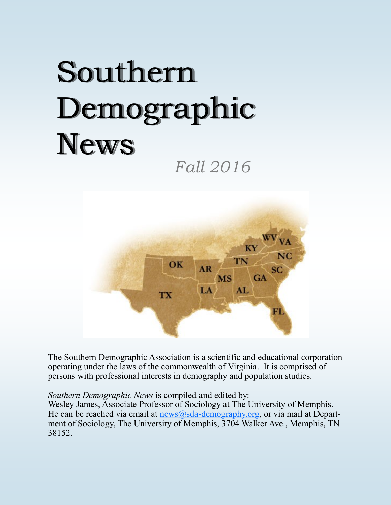# Southern Demographic News

*Fall 2016*



The Southern Demographic Association is a scientific and educational corporation operating under the laws of the commonwealth of Virginia. It is comprised of persons with professional interests in demography and population studies.

*Southern Demographic News* is compiled and edited by:

Wesley James, Associate Professor of Sociology at The University of Memphis. He can be reached via email at  $n = \frac{\text{news}(a) - \text{demography.org}}{\text{mean}(\text{news})}$ , or via mail at Department of Sociology, The University of Memphis, 3704 Walker Ave., Memphis, TN 38152.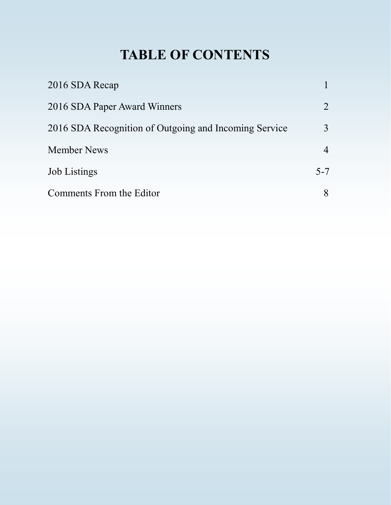# **TABLE OF CONTENTS**

| 2016 SDA Recap                                        |                |
|-------------------------------------------------------|----------------|
| 2016 SDA Paper Award Winners                          | 2              |
| 2016 SDA Recognition of Outgoing and Incoming Service | 3              |
| <b>Member News</b>                                    | $\overline{4}$ |
| <b>Job Listings</b>                                   | $5 - 7$        |
| Comments From the Editor                              | 8              |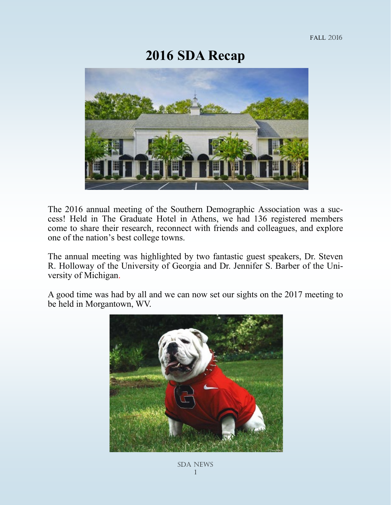#### **2016 SDA Recap**



The 2016 annual meeting of the Southern Demographic Association was a success! Held in The Graduate Hotel in Athens, we had 136 registered members come to share their research, reconnect with friends and colleagues, and explore one of the nation's best college towns.

The annual meeting was highlighted by two fantastic guest speakers, Dr. Steven R. Holloway of the University of Georgia and Dr. Jennifer S. Barber of the University of Michigan.

A good time was had by all and we can now set our sights on the 2017 meeting to be held in Morgantown, WV.

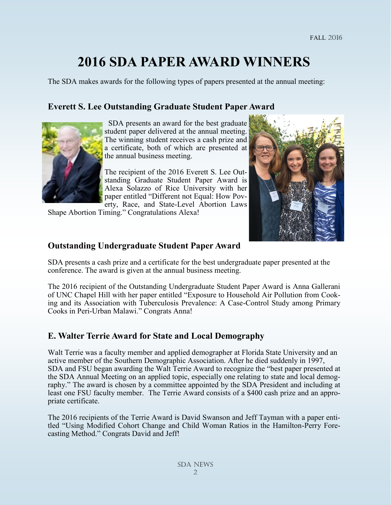## **2016 SDA PAPER AWARD WINNERS**

The SDA makes awards for the following types of papers presented at the annual meeting:

#### **Everett S. Lee Outstanding Graduate Student Paper Award**



 SDA presents an award for the best graduate student paper delivered at the annual meeting. The winning student receives a cash prize and a certificate, both of which are presented at the annual business meeting.

The recipient of the 2016 Everett S. Lee Outstanding Graduate Student Paper Award is Alexa Solazzo of Rice University with her paper entitled "Different not Equal: How Poverty, Race, and State-Level Abortion Laws

Shape Abortion Timing." Congratulations Alexa!



SDA presents a cash prize and a certificate for the best undergraduate paper presented at the conference. The award is given at the annual business meeting.

The 2016 recipient of the Outstanding Undergraduate Student Paper Award is Anna Gallerani of UNC Chapel Hill with her paper entitled "Exposure to Household Air Pollution from Cooking and its Association with Tuberculosis Prevalence: A Case-Control Study among Primary Cooks in Peri-Urban Malawi." Congrats Anna!

#### **E. Walter Terrie Award for State and Local Demography**

Walt Terrie was a faculty member and applied demographer at Florida State University and an active member of the Southern Demographic Association. After he died suddenly in 1997, SDA and FSU began awarding the Walt Terrie Award to recognize the "best paper presented at the SDA Annual Meeting on an applied topic, especially one relating to state and local demography." The award is chosen by a committee appointed by the SDA President and including at least one FSU faculty member. The Terrie Award consists of a \$400 cash prize and an appropriate certificate.

The 2016 recipients of the Terrie Award is David Swanson and Jeff Tayman with a paper entitled "Using Modified Cohort Change and Child Woman Ratios in the Hamilton-Perry Forecasting Method." Congrats David and Jeff!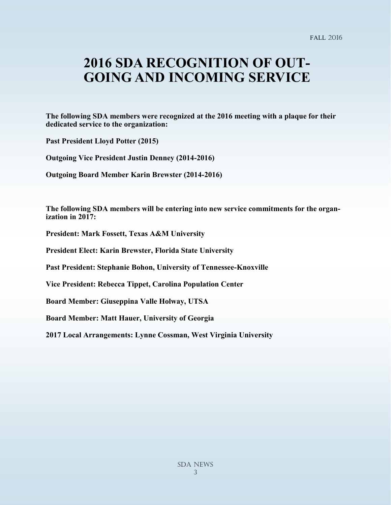## **2016 SDA RECOGNITION OF OUT-GOING AND INCOMING SERVICE**

**The following SDA members were recognized at the 2016 meeting with a plaque for their dedicated service to the organization:**

**Past President Lloyd Potter (2015)**

**Outgoing Vice President Justin Denney (2014-2016)**

**Outgoing Board Member Karin Brewster (2014-2016)**

**The following SDA members will be entering into new service commitments for the organization in 2017:**

**President: Mark Fossett, Texas A&M University**

**President Elect: Karin Brewster, Florida State University**

**Past President: Stephanie Bohon, University of Tennessee-Knoxville**

**Vice President: Rebecca Tippet, Carolina Population Center**

**Board Member: Giuseppina Valle Holway, UTSA**

**Board Member: Matt Hauer, University of Georgia**

**2017 Local Arrangements: Lynne Cossman, West Virginia University**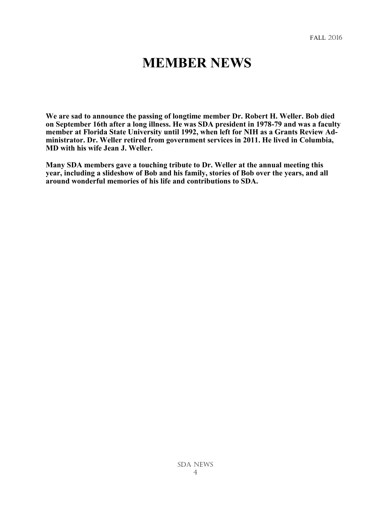#### **MEMBER NEWS**

**We are sad to announce the passing of longtime member Dr. Robert H. Weller. Bob died on September 16th after a long illness. He was SDA president in 1978-79 and was a faculty member at Florida State University until 1992, when left for NIH as a Grants Review Administrator. Dr. Weller retired from government services in 2011. He lived in Columbia, MD with his wife Jean J. Weller.** 

**Many SDA members gave a touching tribute to Dr. Weller at the annual meeting this year, including a slideshow of Bob and his family, stories of Bob over the years, and all around wonderful memories of his life and contributions to SDA.**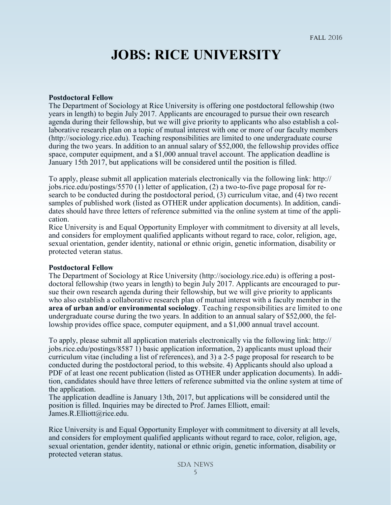## **JOBS: RICE UNIVERSITY**

#### **Postdoctoral Fellow**

The Department of Sociology at Rice University is offering one postdoctoral fellowship (two years in length) to begin July 2017. Applicants are encouraged to pursue their own research agenda during their fellowship, but we will give priority to applicants who also establish a collaborative research plan on a topic of mutual interest with one or more of our faculty members (http://sociology.rice.edu). Teaching responsibilities are limited to one undergraduate course during the two years. In addition to an annual salary of \$52,000, the fellowship provides office space, computer equipment, and a \$1,000 annual travel account. The application deadline is January 15th 2017, but applications will be considered until the position is filled.

To apply, please submit all application materials electronically via the following link: http:// jobs.rice.edu/postings/5570 (1) letter of application, (2) a two-to-five page proposal for research to be conducted during the postdoctoral period, (3) curriculum vitae, and (4) two recent samples of published work (listed as OTHER under application documents). In addition, candidates should have three letters of reference submitted via the online system at time of the application.

Rice University is and Equal Opportunity Employer with commitment to diversity at all levels, and considers for employment qualified applicants without regard to race, color, religion, age, sexual orientation, gender identity, national or ethnic origin, genetic information, disability or protected veteran status.

#### **Postdoctoral Fellow**

The Department of Sociology at Rice University (http://sociology.rice.edu) is offering a postdoctoral fellowship (two years in length) to begin July 2017. Applicants are encouraged to pursue their own research agenda during their fellowship, but we will give priority to applicants who also establish a collaborative research plan of mutual interest with a faculty member in the **area of urban and/or environmental sociology**. Teaching responsibilities are limited to one undergraduate course during the two years. In addition to an annual salary of \$52,000, the fellowship provides office space, computer equipment, and a \$1,000 annual travel account.

To apply, please submit all application materials electronically via the following link: http:// jobs.rice.edu/postings/8587 1) basic application information, 2) applicants must upload their curriculum vitae (including a list of references), and 3) a 2-5 page proposal for research to be conducted during the postdoctoral period, to this website. 4) Applicants should also upload a PDF of at least one recent publication (listed as OTHER under application documents). In addition, candidates should have three letters of reference submitted via the online system at time of the application.

The application deadline is January 13th, 2017, but applications will be considered until the position is filled. Inquiries may be directed to Prof. James Elliott, email: James.R.Elliott@rice.edu.

Rice University is and Equal Opportunity Employer with commitment to diversity at all levels, and considers for employment qualified applicants without regard to race, color, religion, age, sexual orientation, gender identity, national or ethnic origin, genetic information, disability or protected veteran status.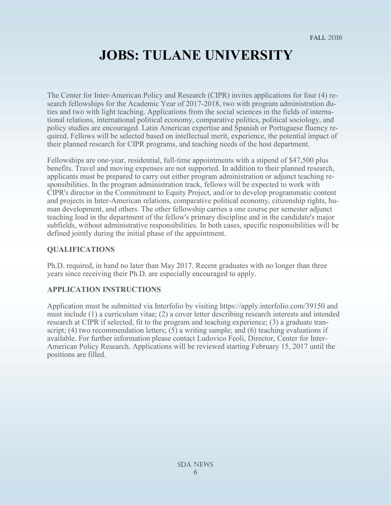## **JOBS: TULANE UNIVERSITY**

The Center for Inter-American Policy and Research (CIPR) invites applications for four (4) research fellowships for the Academic Year of 2017-2018, two with program administration duties and two with light teaching. Applications from the social sciences in the fields of international relations, international political economy, comparative politics, political sociology, and policy studies are encouraged. Latin American expertise and Spanish or Portuguese fluency required. Fellows will be selected based on intellectual merit, experience, the potential impact of their planned research for CIPR programs, and teaching needs of the host department.

Fellowships are one-year, residential, full-time appointments with a stipend of \$47,500 plus benefits. Travel and moving expenses are not supported. In addition to their planned research, applicants must be prepared to carry out either program administration or adjunct teaching responsibilities. In the program administration track, fellows will be expected to work with CIPR's director in the Commitment to Equity Project, and/or to develop programmatic content and projects in Inter-American relations, comparative political economy, citizenship rights, human development, and others. The other fellowship carries a one course per semester adjunct teaching load in the department of the fellow's primary discipline and in the candidate's major subfields, without administrative responsibilities. In both cases, specific responsibilities will be defined jointly during the initial phase of the appointment.

#### **QUALIFICATIONS**

Ph.D. required, in hand no later than May 2017. Recent graduates with no longer than three years since receiving their Ph.D. are especially encouraged to apply.

#### **APPLICATION INSTRUCTIONS**

Application must be submitted via Interfolio by visiting https://apply.interfolio.com/39150 and must include (1) a curriculum vitae; (2) a cover letter describing research interests and intended research at CIPR if selected, fit to the program and teaching experience; (3) a graduate transcript;  $(4)$  two recommendation letters;  $(5)$  a writing sample; and  $(6)$  teaching evaluations if available. For further information please contact Ludovico Feoli, Director, Center for Inter-American Policy Research. Applications will be reviewed starting February 15, 2017 until the positions are filled.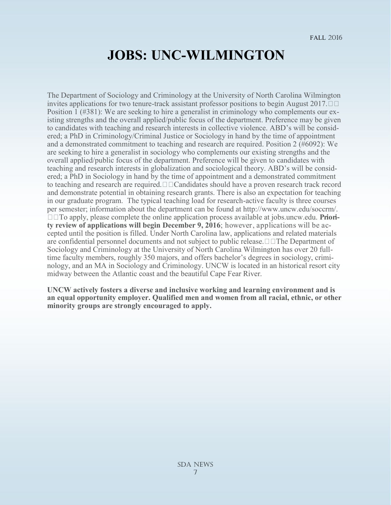### **JOBS: UNC-WILMINGTON**

The Department of Sociology and Criminology at the University of North Carolina Wilmington invites applications for two tenure-track assistant professor positions to begin August 2017. Position 1 (#381): We are seeking to hire a generalist in criminology who complements our existing strengths and the overall applied/public focus of the department. Preference may be given to candidates with teaching and research interests in collective violence. ABD's will be considered; a PhD in Criminology/Criminal Justice or Sociology in hand by the time of appointment and a demonstrated commitment to teaching and research are required. Position 2 (#6092): We are seeking to hire a generalist in sociology who complements our existing strengths and the overall applied/public focus of the department. Preference will be given to candidates with teaching and research interests in globalization and sociological theory. ABD's will be considered; a PhD in Sociology in hand by the time of appointment and a demonstrated commitment to teaching and research are required.  $\Box$  Candidates should have a proven research track record and demonstrate potential in obtaining research grants. There is also an expectation for teaching in our graduate program. The typical teaching load for research-active faculty is three courses per semester; information about the department can be found at http://www.uncw.edu/soccrm/. To apply, please complete the online application process available at jobs.uncw.edu. **Priority review of applications will begin December 9, 2016**; however, applications will be accepted until the position is filled. Under North Carolina law, applications and related materials are confidential personnel documents and not subject to public release.  $\Box$   $\Box$  The Department of Sociology and Criminology at the University of North Carolina Wilmington has over 20 fulltime faculty members, roughly 350 majors, and offers bachelor's degrees in sociology, criminology, and an MA in Sociology and Criminology. UNCW is located in an historical resort city midway between the Atlantic coast and the beautiful Cape Fear River.

**UNCW actively fosters a diverse and inclusive working and learning environment and is an equal opportunity employer. Qualified men and women from all racial, ethnic, or other minority groups are strongly encouraged to apply.**